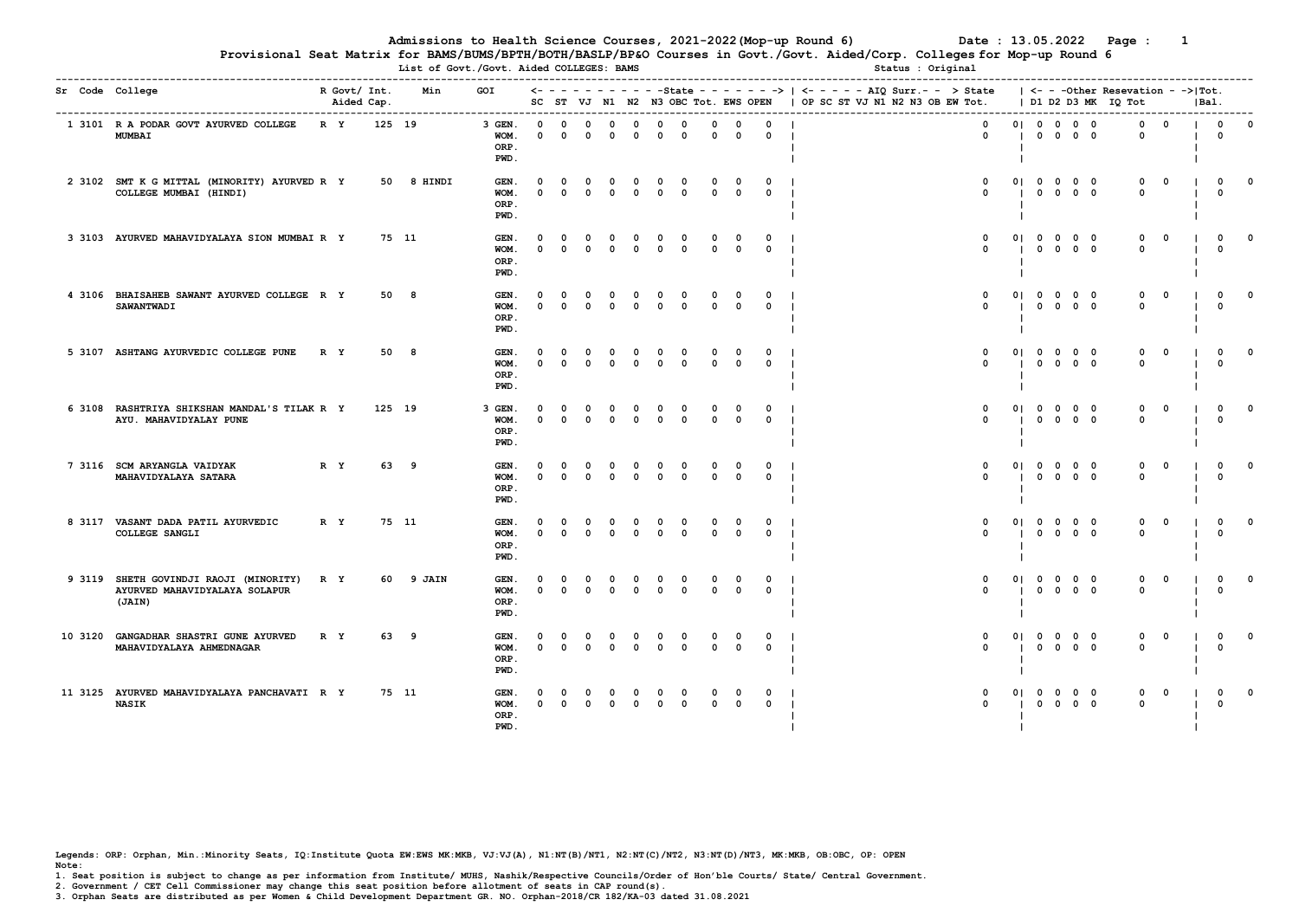Provisional Seat Matrix for BAMS/BUMS/BPTH/BOTH/BASLP/BP&O Courses in Govt./Govt. Aided/Corp. Colleges for Mop-up Round 6 List of Govt./Govt. Aided COLLEGES: BAMS

| Sr Code College                                                                   | R Govt/ Int.<br>Aided Cap. |        | Min<br>---------------------------- | GOI                            | $\leftarrow -$          |                      |                             |                            |                            |                             |                            |                             |                             |                            | - - - -State - - - - - - - >   <- - - - - AIQ Surr.- - > State<br>SC ST VJ N1 N2 N3 OBC Tot. EWS OPEN   OP SC ST VJ N1 N2 N3 OB EW Tot.   D1 D2 D3 MK IQ Tot |                      |             |                                                                                            |            | $\vert$ $\langle$ - - -Other Resevation - -> $\vert$ Tot. |                         | IBal. |                             |          |
|-----------------------------------------------------------------------------------|----------------------------|--------|-------------------------------------|--------------------------------|-------------------------|----------------------|-----------------------------|----------------------------|----------------------------|-----------------------------|----------------------------|-----------------------------|-----------------------------|----------------------------|--------------------------------------------------------------------------------------------------------------------------------------------------------------|----------------------|-------------|--------------------------------------------------------------------------------------------|------------|-----------------------------------------------------------|-------------------------|-------|-----------------------------|----------|
| 1 3101 R A PODAR GOVT AYURVED COLLEGE<br><b>MUMBAI</b>                            | R Y                        | 125 19 |                                     | 3 GEN.<br>WOM.<br>ORP.<br>PWD. | $\Omega$<br>$\mathbf 0$ | $\Omega$<br>$\Omega$ | $\Omega$<br>$\Omega$        | $^{\circ}$<br>$\Omega$     | $^{\circ}$<br>$\Omega$     | $\mathbf 0$<br>$\mathbf 0$  | $\mathbf 0$<br>$\mathbf 0$ | $^{\circ}$<br>$\mathbf 0$   | $^{\circ}$<br>$^{\circ}$    | $^{\circ}$<br>$\mathbf{o}$ | $\mathbf 0$<br>$\Omega$                                                                                                                                      | $\blacksquare$       |             | 01 0 0 0 0<br>$0\quad 0\quad 0\quad 0$                                                     |            | $\mathbf 0$<br>$\mathbf 0$                                | $\overline{\mathbf{0}}$ |       | $\mathbf 0$<br>$\mathbf{o}$ | $\Omega$ |
| 2 3102 SMT K G MITTAL (MINORITY) AYURVED R Y<br>COLLEGE MUMBAI (HINDI)            |                            |        | 50 8 HINDI                          | GEN.<br>WOM.<br>ORP.<br>PWD.   | $\Omega$<br>$\Omega$    | $\Omega$<br>$\Omega$ | $\mathbf 0$<br>$\Omega$     | $\mathbf 0$<br>$\Omega$    | $\mathbf 0$<br>$^{\circ}$  | $\mathbf 0$<br>$\Omega$     | $\mathbf 0$<br>$\Omega$    | $\mathbf{o}$<br>$\Omega$    | $\Omega$<br>$\Omega$        | $\Omega$<br>$\Omega$       | $\mathbf{o}$<br>$\Omega$                                                                                                                                     | 01                   |             | $0\quad 0\quad 0\quad 0$<br>$0\quad 0\quad 0\quad 0$                                       |            | $^{\circ}$<br>$\Omega$                                    | $\Omega$                |       | $\Omega$<br>$\Omega$        |          |
| 3 3103 AYURVED MAHAVIDYALAYA SION MUMBAI R Y                                      |                            |        | 75 11                               | GEN.<br>WOM.<br>ORP.<br>PWD.   | $\Omega$<br>$^{\circ}$  | $^{\circ}$           | $\Omega$<br>$^{\circ}$      | $\mathbf{o}$<br>$\Omega$   | $\mathbf{o}$<br>$^{\circ}$ | $\mathbf{o}$<br>$\Omega$    | $\Omega$<br>$\Omega$       | $\mathbf{o}$<br>$^{\circ}$  | $^{\circ}$                  | $\Omega$<br>$\Omega$       | $\mathbf{o}$<br>$\Omega$                                                                                                                                     | 01<br>$\blacksquare$ |             | $0\quad 0\quad 0\quad 0$<br>$0\quad 0\quad 0\quad 0$                                       |            | $\Omega$<br>$^{\circ}$                                    | $\Omega$                |       | $\Omega$<br>$\Omega$        |          |
| 4 3106 BHAISAHEB SAWANT AYURVED COLLEGE R Y<br>SAWANTWADI                         |                            |        | 50 8                                | GEN.<br>WOM.<br>ORP.<br>PWD.   | $\Omega$                | $\Omega$             | $\Omega$<br>$\Omega$        | $\mathbf{o}$<br>$^{\circ}$ | $\mathbf{o}$<br>$^{\circ}$ | $\mathbf{o}$<br>$\mathbf 0$ | $^{\circ}$<br>$\mathbf 0$  | $^{\circ}$<br>$^{\circ}$    | $^{\circ}$                  | $\Omega$<br>$\Omega$       | $\mathbf{o}$<br>$\Omega$                                                                                                                                     | 01<br>$\blacksquare$ |             | $0\quad 0\quad 0\quad 0$<br>$0\quad 0\quad 0\quad 0$                                       |            | $\Omega$<br>$^{\circ}$                                    | $\mathbf 0$             |       | $^{\circ}$<br>$\Omega$      |          |
| 5 3107 ASHTANG AYURVEDIC COLLEGE PUNE                                             | R Y                        |        | 50 8                                | GEN.<br>WOM.<br>ORP.<br>PWD.   | $\Omega$<br>$\Omega$    | $\Omega$<br>$\Omega$ | $\Omega$<br>$^{\circ}$      | $^{\circ}$<br>$^{\circ}$   | $\mathbf 0$<br>$^{\circ}$  | $\mathbf 0$<br>$\Omega$     | $\mathbf 0$<br>$^{\circ}$  | $^{\circ}$<br>$\Omega$      | $\Omega$<br>$^{\circ}$      | $\Omega$<br>$^{\circ}$     | $\mathbf{o}$<br>$\Omega$                                                                                                                                     | 01<br>$\blacksquare$ |             | $0\quad 0\quad 0\quad 0$<br>$0\quad 0\quad 0\quad 0$                                       |            | $\mathbf 0$<br>$\Omega$                                   | $\Omega$                |       | $^{\circ}$<br>$\Omega$      |          |
| 6 3108 RASHTRIYA SHIKSHAN MANDAL'S TILAK R Y<br>AYU. MAHAVIDYALAY PUNE            |                            | 125 19 |                                     | 3 GEN.<br>WOM.<br>ORP.<br>PWD. | $\Omega$<br>$\Omega$    | $\Omega$             | $\Omega$<br>$\Omega$        | $^{\circ}$<br>$\Omega$     | $^{\circ}$<br>$\mathbf 0$  | $^{\circ}$<br>$\mathbf{o}$  | $\Omega$<br>$\mathbf 0$    | $\Omega$<br>$\Omega$        | $\Omega$<br>$^{\circ}$      | $\Omega$<br>$^{\circ}$     | $^{\circ}$<br>$\Omega$                                                                                                                                       | 01<br>$\blacksquare$ |             | $0\quad 0\quad 0\quad 0$<br>$0\quad 0\quad 0\quad 0$                                       |            | $^{\circ}$<br>$\Omega$                                    | $\Omega$                |       | $\Omega$<br>$\Omega$        | $\Omega$ |
| 7 3116 SCM ARYANGLA VAIDYAK<br>MAHAVIDYALAYA SATARA                               | R Y                        |        | 63 9                                | GEN.<br>WOM.<br>ORP.<br>PWD.   | $\Omega$<br>$\Omega$    | $\Omega$<br>$\Omega$ | $\Omega$<br>$\Omega$        | $^{\circ}$<br>$\Omega$     | $^{\circ}$<br>$^{\circ}$   | $\mathbf{o}$<br>$\Omega$    | $^{\circ}$<br>$^{\circ}$   | $^{\circ}$<br>$\Omega$      | $^{\circ}$<br>$\Omega$      | $\Omega$<br>$\Omega$       | $\mathbf{o}$<br>$\Omega$                                                                                                                                     | 01<br>$\blacksquare$ |             | $\begin{array}{ccccccccccccc}\n0 & 0 & 0 & 0 & 0\n\end{array}$<br>$0\quad 0\quad 0\quad 0$ |            | $^{\circ}$<br>$\Omega$                                    | $\Omega$                |       | $^{\circ}$<br>$\Omega$      |          |
| 8 3117 VASANT DADA PATIL AYURVEDIC<br>COLLEGE SANGLI                              | R Y                        |        | 75 11                               | GEN.<br>WOM.<br>ORP.<br>PWD.   | $\Omega$<br>$\Omega$    | $^{\circ}$           | $\mathbf{o}$<br>$\mathbf 0$ | $^{\circ}$<br>$\mathbf 0$  | $\mathbf 0$<br>$\mathbf 0$ | $\mathbf{o}$<br>$\mathbf 0$ | $^{\circ}$<br>$\mathbf{o}$ | $\mathbf{o}$<br>$\mathbf 0$ | $\mathbf{o}$<br>$\mathbf 0$ | $^{\circ}$<br>$\mathbf 0$  | $\mathbf{o}$<br>$\Omega$                                                                                                                                     | 01                   |             | $0\quad 0\quad 0\quad 0$<br>$0\quad 0\quad 0\quad 0$                                       |            | $\mathbf 0$<br>$^{\circ}$                                 | $\overline{\mathbf{0}}$ |       | $\mathbf 0$<br>$^{\circ}$   |          |
| 9 3119 SHETH GOVINDJI RAOJI (MINORITY)<br>AYURVED MAHAVIDYALAYA SOLAPUR<br>(JAIN) | R Y                        |        | 60 9 JAIN                           | GEN.<br>WOM.<br>ORP.<br>PWD.   | $\Omega$<br>$\Omega$    | $\Omega$             | $^{\circ}$<br>$\Omega$      | $\mathbf 0$<br>$\Omega$    | $\mathbf 0$<br>$\Omega$    | $\mathbf 0$<br>$\Omega$     | $\mathbf{o}$<br>$\Omega$   | $\mathbf 0$<br>$\Omega$     | $\mathbf{o}$<br>$^{\circ}$  | $^{\circ}$<br>$^{\circ}$   | 0<br>$\Omega$                                                                                                                                                | 01<br>$\blacksquare$ |             | $0\quad 0\quad 0\quad 0$<br>$0\quad 0\quad 0\quad 0$                                       |            | $\mathbf 0$<br>$\Omega$                                   | $\mathbf{o}$            |       | $\mathbf 0$<br>$\mathbf 0$  |          |
| 10 3120 GANGADHAR SHASTRI GUNE AYURVED<br>MAHAVIDYALAYA AHMEDNAGAR                | R Y                        |        | 63 9                                | GEN.<br>WOM.<br>ORP.<br>PWD.   | $\Omega$<br>$\Omega$    | $\Omega$             | $\Omega$<br>$\Omega$        | $\mathbf{o}$<br>$\Omega$   | 0<br>$\Omega$              | $\mathbf 0$<br>$\Omega$     | $\mathbf 0$<br>$\Omega$    | $\mathbf 0$<br>$\Omega$     | $\mathbf{o}$<br>$\Omega$    | $\mathbf 0$<br>$\Omega$    | $\mathsf{o}\,$<br>$\Omega$                                                                                                                                   | $\blacksquare$       |             | 01 0 0 0 0<br>$0\quad 0\quad 0\quad 0$                                                     |            | $\mathbf 0$<br>$\Omega$                                   | $\mathbf{o}$            |       | $\mathbf 0$<br>$\Omega$     |          |
| 11 3125 AYURVED MAHAVIDYALAYA PANCHAVATI R Y<br><b>NASIK</b>                      |                            |        | 75 11                               | GEN.<br>WOM.<br>ORP.<br>PWD.   | $\Omega$<br>$\Omega$    | $\Omega$             | $\Omega$<br>$\Omega$        | $\mathbf{o}$<br>$\Omega$   | 0<br>$^{\circ}$            | 0<br>$\Omega$               | 0<br>$\Omega$              | $\mathbf{o}$<br>$\Omega$    | $\Omega$                    | $\Omega$<br>$\Omega$       | 0<br>$\Omega$                                                                                                                                                | 0 <sub>1</sub>       | $\mathbf 0$ | $\overline{0}$<br>$0\quad 0\quad 0\quad 0$                                                 | $0\quad 0$ | $\mathbf 0$<br>$\Omega$                                   | $\mathbf{o}$            |       | $\mathbf 0$<br>$\Omega$     |          |

Legends: ORP: Orphan, Min.:Minority Seats, IQ:Institute Quota EW:EWS MK:MKB, VJ:VJ(A), N1:NT(B)/NT1, N2:NT(C)/NT2, N3:NT(D)/NT3, MK:MKB, OB:OBC, OP: OPEN Note:

1. Seat position is subject to change as per information from Institute/ MUHS, Nashik/Respective Councils/Order of Hon'ble Courts/ State/ Central Government.

2. Government / CET Cell Commissioner may change this seat position before allotment of seats in CAP round(s).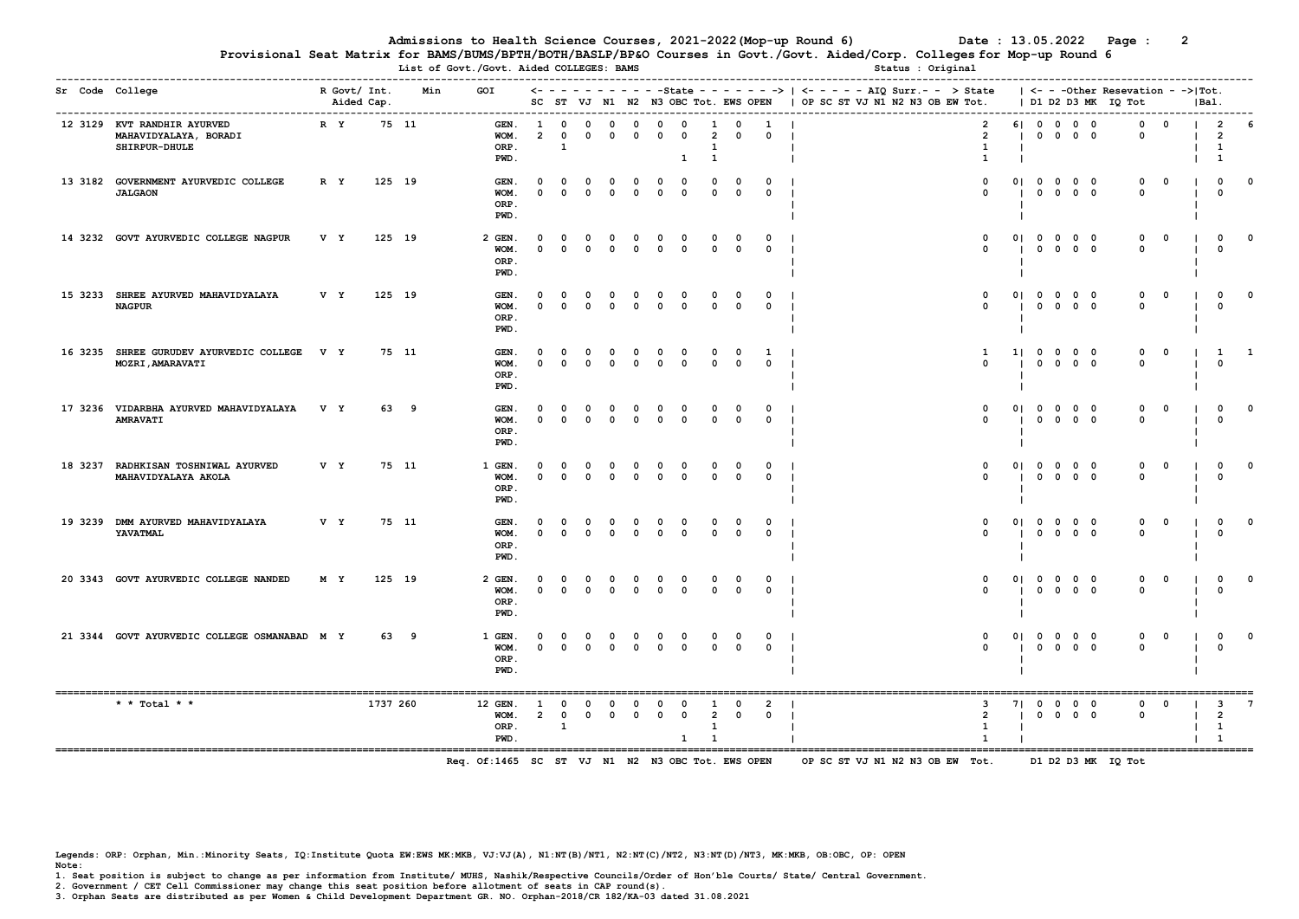List of Govt./Govt. Aided COLLEGES: BAMS

Provisional Seat Matrix for BAMS/BUMS/BPTH/BOTH/BASLP/BP&O Courses in Govt./Govt. Aided/Corp. Colleges for Mop-up Round 6

| Sr Code College |                                                                       |     | R Govt/ Int. |          | GOI<br>Min                                                            |                            |                                            |                               |                             |                              |                             |                                     |                                                |                             |                               | $\leftarrow$ - - - - - - - - - - State - - - - - - >   <- - - - - AIQ Surr.- - > State |                      |             |                                                      |            | $ $ <- - - Other Resevation - -> Tot. |                |          |                                                      |              |
|-----------------|-----------------------------------------------------------------------|-----|--------------|----------|-----------------------------------------------------------------------|----------------------------|--------------------------------------------|-------------------------------|-----------------------------|------------------------------|-----------------------------|-------------------------------------|------------------------------------------------|-----------------------------|-------------------------------|----------------------------------------------------------------------------------------|----------------------|-------------|------------------------------------------------------|------------|---------------------------------------|----------------|----------|------------------------------------------------------|--------------|
|                 |                                                                       |     | Aided Cap.   |          |                                                                       |                            |                                            |                               |                             |                              |                             | SC ST VJ N1 N2 N3 OBC Tot. EWS OPEN |                                                |                             |                               | OP SC ST VJ N1 N2 N3 OB EW Tot.                                                        |                      |             |                                                      |            | D1 D2 D3 MK IQ Tot                    |                | $ Ba1$ . |                                                      |              |
|                 | 12 3129 KVT RANDHIR AYURVED<br>MAHAVIDYALAYA, BORADI<br>SHIRPUR-DHULE | R Y |              | 75 11    | GEN.<br>WOM.<br>ORP.<br>PWD.                                          | - 1<br>$\overline{2}$      | $\Omega$<br>$\mathbf{1}$                   | $\Omega$                      | $^{\circ}$                  | $\Omega$                     | $\Omega$                    | $\Omega$<br>1                       | $\overline{2}$<br><sup>1</sup><br>$\mathbf{1}$ | $^{\circ}$                  | $\Omega$                      | $\overline{2}$<br>$\overline{2}$<br>$\mathbf{1}$<br>- 1<br>1                           |                      | 61 0 0      | $0\quad 0\quad 0\quad 0$                             | $0\quad 0$ | <sup>0</sup><br>$^{\circ}$            | - 0            |          | $\mathcal{P}$<br>$\overline{2}$<br>$\mathbf{1}$<br>1 |              |
|                 | 13 3182 GOVERNMENT AYURVEDIC COLLEGE<br><b>JALGAON</b>                | R Y |              | 125 19   | GEN.<br>WOM.<br>ORP.<br>PWD.                                          | $\mathbf{o}$<br>$\Omega$   | $^{\circ}$<br>$\Omega$                     | $\mathbf{o}$<br>$\Omega$      | $\mathbf 0$<br>$\mathbf 0$  | $\mathbf 0$<br>$\mathbf 0$   | $\mathbf{o}$<br>$\mathbf 0$ | $\mathbf 0$<br>$\mathbf 0$          | 0<br>$\mathbf 0$                               | $\mathbf 0$<br>$\mathbf 0$  | $\Omega$<br>$^{\circ}$        | $\mathbf{o}$<br>$\Omega$                                                               | 01                   | $^{\circ}$  | $0\quad 0\quad 0\quad 0$<br>$0\quad 0\quad 0$        |            | 0<br>$\Omega$                         | $\Omega$       |          | $\mathbf{o}$<br>$\mathbf{o}$                         | $\Omega$     |
|                 | 14 3232 GOVT AYURVEDIC COLLEGE NAGPUR                                 | V Y |              | 125 19   | $2$ GEN.<br>WOM.<br>ORP.<br>PWD.                                      | $\Omega$<br>$\Omega$       | $\Omega$<br>$\Omega$                       | $^{\circ}$<br>$\Omega$        | $\mathbf 0$<br>$^{\circ}$   | $\mathbf{o}$<br>$^{\circ}$   | $\mathbf 0$<br>$^{\circ}$   | $\mathbf 0$<br>$^{\circ}$           | $\Omega$<br>$^{\circ}$                         | $\Omega$<br>$^{\circ}$      | $\Omega$<br>$^{\circ}$        | $\mathbf 0$<br>$^{\circ}$                                                              | 01                   |             | $0\quad 0\quad 0\quad 0$<br>$0\quad 0\quad 0\quad 0$ |            | $^{\circ}$<br>$\Omega$                | $^{\circ}$     |          | $\mathbf 0$<br>$^{\circ}$                            | $\Omega$     |
|                 | 15 3233 SHREE AYURVED MAHAVIDYALAYA<br><b>NAGPUR</b>                  | V Y |              | 125 19   | GEN.<br>WOM.<br>ORP.<br>PWD.                                          | $\Omega$                   | $\Omega$<br>$\Omega$                       | $\mathbf{o}$<br>$\mathbf 0$   | $\mathbf{o}$<br>$\mathbf 0$ | $\mathbf 0$<br>$\mathbf 0$   | $\mathbf 0$<br>$\mathbf 0$  | $\mathbf 0$<br>$\mathbf 0$          | $\Omega$<br>$\mathbf 0$                        | $\Omega$<br>$\mathbf 0$     | $\Omega$<br>$\Omega$          | $\mathbf 0$<br>$^{\circ}$                                                              | 01                   |             | $0\quad 0\quad 0\quad 0$<br>$0\quad 0\quad 0\quad 0$ |            | $\mathbf 0$<br>$\Omega$               | $\mathbf 0$    |          | $\mathbf 0$<br>$^{\circ}$                            | $\Omega$     |
|                 | 16 3235 SHREE GURUDEV AYURVEDIC COLLEGE V Y<br>MOZRI, AMARAVATI       |     |              | 75 11    | GEN.<br>WOM.<br>ORP.<br>PWD.                                          | $\Omega$<br>$^{\circ}$     | $\Omega$<br>$\mathbf{o}$                   | $\mathbf{o}$<br>$\mathbf 0$   | 0<br>$\mathbf 0$            | $\mathbf{o}$<br>$\mathbf{o}$ | $\mathbf{o}$<br>$\mathbf 0$ | $\mathbf 0$<br>$\mathbf{o}$         | $\mathbf{o}$<br>$\mathbf 0$                    | $\mathbf{o}$<br>$\mathbf 0$ | 1<br>$\mathbf 0$              | 1<br>$\Omega$                                                                          | 11                   |             | $0\quad 0\quad 0\quad 0$<br>$0\quad 0\quad 0\quad 0$ |            | $^{\circ}$<br>$^{\circ}$              | $\mathbf{o}$   |          | 1<br>$^{\circ}$                                      | $\mathbf{1}$ |
|                 | 17 3236 VIDARBHA AYURVED MAHAVIDYALAYA<br><b>AMRAVATI</b>             | V Y |              | 63 9     | GEN.<br>WOM.<br>ORP.<br>PWD.                                          | $\Omega$<br>$\Omega$       | $\Omega$<br>$\Omega$                       | $\Omega$<br>$^{\circ}$        | $\mathbf{o}$<br>$^{\circ}$  | $\Omega$<br>$\Omega$         | $\mathbf{o}$<br>$^{\circ}$  | $\mathbf 0$<br>$^{\circ}$           | $^{\circ}$<br>$^{\circ}$                       | 0<br>$\Omega$               | $\mathbf{o}$<br>$^{\circ}$    | $\mathbf 0$<br>$\Omega$<br>- 1                                                         | 01                   |             | $0\quad 0\quad 0\quad 0$<br>$0\quad 0\quad 0\quad 0$ |            | $\mathbf 0$<br>$\Omega$               | $\mathbf{o}$   |          | $\mathbf 0$<br>$^{\circ}$                            | $\mathbf{o}$ |
|                 | 18 3237 RADHKISAN TOSHNIWAL AYURVED<br>MAHAVIDYALAYA AKOLA            | V Y |              | 75 11    | 1 GEN.<br>WOM.<br>ORP.<br>PWD.                                        | $^{\circ}$                 | $\Omega$                                   | $\Omega$<br>$\mathbf{0}$      | 0<br>$\mathbf 0$            | $^{\circ}$<br>$\mathbf 0$    | $\mathbf{o}$<br>$\mathbf 0$ | $\mathbf{o}$<br>$\mathbf 0$         | $\Omega$<br>$\mathbf 0$                        | $\mathbf 0$                 | $\mathbf 0$                   | $\Omega$<br>$\Omega$                                                                   | 01                   |             | $0\quad 0\quad 0\quad 0$<br>$0\quad 0\quad 0\quad 0$ |            | 0<br>$\Omega$                         | $\mathbf 0$    |          | $^{\circ}$<br>$^{\circ}$                             |              |
|                 | 19 3239 DMM AYURVED MAHAVIDYALAYA<br>YAVATMAL                         | V Y |              | 75 11    | GEN.<br>WOM.<br>ORP.<br>PWD.                                          | $\Omega$                   | 0<br>$\Omega$                              | $\mathbf 0$<br>$\mathbf 0$    | 0<br>$\mathbf 0$            | $\mathbf 0$<br>$\mathbf 0$   | $\mathbf 0$<br>$\mathbf 0$  | $\mathbf{o}$<br>$\mathbf 0$         | $\mathbf{o}$<br>$\mathbf{o}$                   | 0<br>$\mathbf 0$            | $\Omega$<br>$\mathbf{o}$      | $\mathbf{o}$<br>$\Omega$                                                               | 01                   |             | $0\quad 0\quad 0\quad 0$<br>$0\quad 0\quad 0\quad 0$ |            | $\mathbf 0$<br>$\mathbf{0}$           | $\overline{0}$ |          | $\mathbf{o}$<br>$\Omega$                             | $\Omega$     |
|                 | 20 3343 GOVT AYURVEDIC COLLEGE NANDED                                 | M Y |              | 125 19   | 2 GEN.<br>WOM.<br>ORP.<br>PWD.                                        | $\Omega$<br>$\mathbf 0$    | $\Omega$<br>$\mathbf 0$                    | $^{\circ}$<br>$\mathbf 0$     | 0<br>$\mathbf 0$            | $\mathbf 0$<br>$\mathbf 0$   | $\mathbf{o}$<br>$\mathbf 0$ | $\mathbf 0$<br>$\mathbf 0$          | $\Omega$<br>$\Omega$                           | $\Omega$<br>0               | $\mathbf{o}$<br>$\mathbf{o}$  | $\mathbf{o}$<br>$\mathbf 0$<br>- 1                                                     | 01                   |             | $0\quad 0\quad 0\quad 0$<br>$0\quad 0\quad 0\quad 0$ |            | $\mathbf 0$<br>$\mathbf 0$            | $\mathbf{o}$   |          | $\mathbf 0$<br>$\mathbf{o}$                          | $\Omega$     |
|                 | 21 3344 GOVT AYURVEDIC COLLEGE OSMANABAD M Y                          |     |              | 63 9     | 1 GEN.<br>WOM.<br>ORP.<br>PWD.                                        | 0<br>$\mathbf{0}$          | $\Omega$<br>$\mathbf{0}$                   | $\mathbf 0$<br>$\mathbf{0}$   | $\mathbf 0$<br>$\mathbf{0}$ | $\mathbf 0$<br>$\mathbf 0$   | $\mathbf 0$<br>$\mathbf 0$  | $\mathbf 0$<br>$\mathbf{o}$         | $^{\circ}$<br>$\mathbf 0$                      | $\Omega$<br>$\mathbf 0$     | $\Omega$<br>$\mathbf 0$       | $\mathbf 0$<br>$^{\circ}$<br>- 1                                                       | 01<br>$\blacksquare$ |             | $0\quad 0\quad 0\quad 0$<br>$0\quad 0\quad 0\quad 0$ |            | 0<br>$\mathbf 0$                      | $\Omega$       |          | $\mathbf{o}$<br>$\mathbf{o}$                         |              |
|                 | * * Total * *                                                         |     |              | 1737 260 | .=================================<br>12 GEN.<br>WOM.<br>ORP.<br>PWD. | <b>1</b><br>$\overline{2}$ | $\mathbf 0$<br>$\mathbf 0$<br>$\mathbf{1}$ | $\mathbf 0$<br>$\overline{0}$ | $^{\circ}$                  | $\mathbf{o}$<br>$0\qquad 0$  | $^{\circ}$<br>$\mathbf{0}$  | $\mathbf 0$<br>$\mathbf 0$          | $\mathbf{1}$<br>$\overline{2}$<br><sup>1</sup> | $\Omega$<br>$\mathbf 0$     | $\overline{2}$<br>$\mathbf 0$ | 3<br>$\overline{2}$<br>$\sim$ 1.<br>$\mathbf{1}$<br>$\mathbf{I}$                       | 71                   | $\mathbf 0$ | $0\quad 0\quad 0$<br>$0\quad 0\quad 0\quad 0$        |            | $\mathbf 0$<br>$\mathbf 0$            | $\mathbf 0$    |          | 3<br>$\overline{2}$<br>$\mathbf{1}$<br>1             | 7            |
|                 |                                                                       |     |              |          | Req. Of:1465 SC ST VJ N1 N2 N3 OBC Tot. EWS OPEN                      |                            |                                            |                               |                             |                              |                             |                                     |                                                |                             |                               | OP SC ST VJ N1 N2 N3 OB EW Tot.                                                        |                      |             |                                                      |            | D1 D2 D3 MK IQ Tot                    |                |          |                                                      |              |

Legends: ORP: Orphan, Min.:Minority Seats, IQ:Institute Quota EW:EWS MK:MKB, VJ:VJ(A), N1:NT(B)/NT1, N2:NT(C)/NT2, N3:NT(D)/NT3, MK:MKB, OB:OBC, OP: OPEN Note:

1. Seat position is subject to change as per information from Institute/ MUHS, Nashik/Respective Councils/Order of Hon'ble Courts/ State/ Central Government.

2. Government / CET Cell Commissioner may change this seat position before allotment of seats in CAP round(s).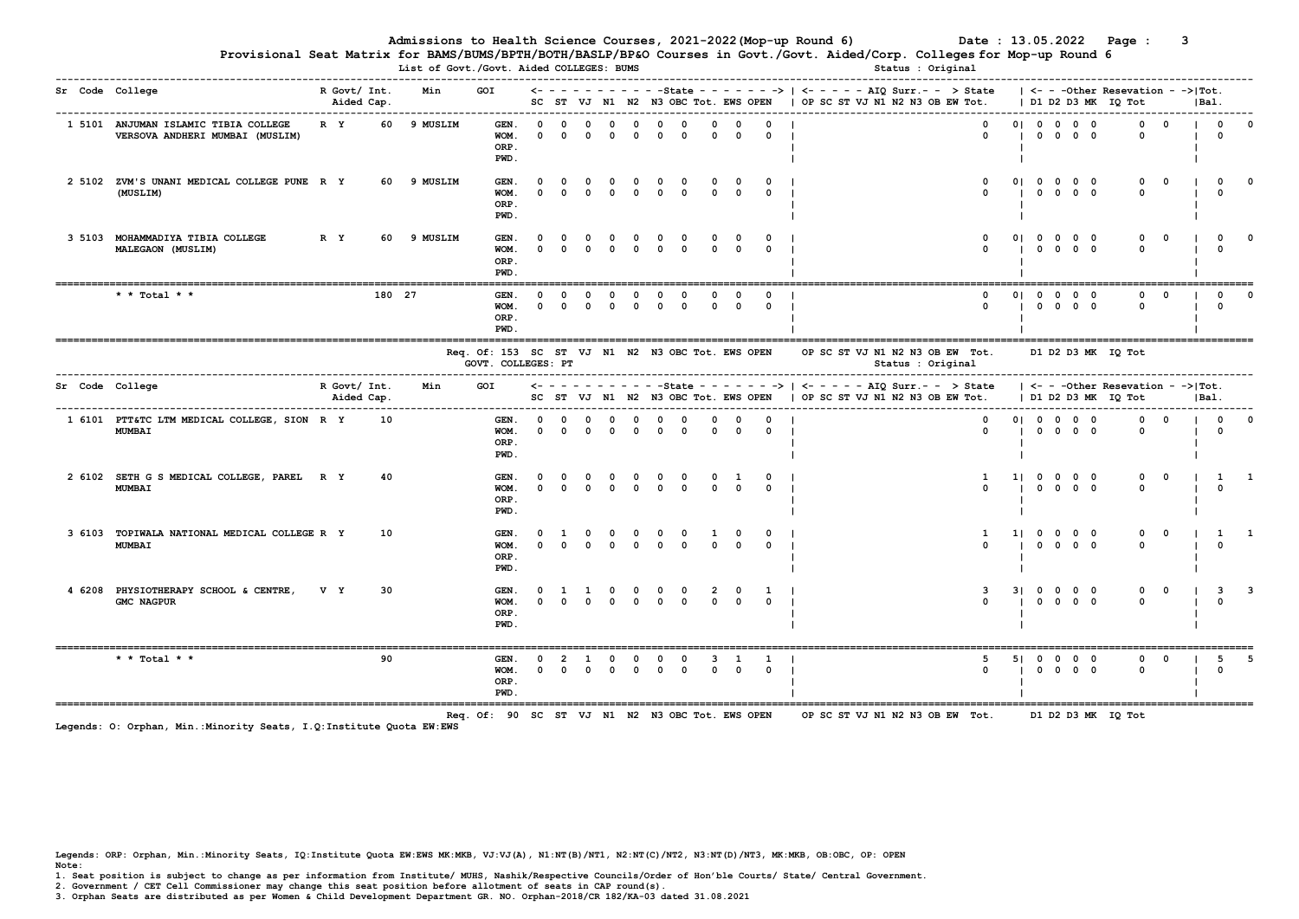Provisional Seat Matrix for BAMS/BUMS/BPTH/BOTH/BASLP/BP&O Courses in Govt./Govt. Aided/Corp. Colleges for Mop-up Round 6 List Dialo, Duilo, Dialo, Duilo, Dialomi, Dialo<br>Status of Court. /Court. Aided COLLEGES: BUMS

|  | Sr Code College                                                         | R Govt/ Int.<br>Aided Cap. |        | Min         | GOI                                                                                                                       |                        |          |                                                                                  |                         |                            |                                               |                         |                          |                         |                                                                                            | SC ST VJ N1 N2 N3 OBC Tot. EWS OPEN   OP SC ST VJ N1 N2 N3 OB EW Tot.   D1 D2 D3 MK IO Tot |                                 |                   |  |                                     |                                                                                                     |  |                     |                         |                         | IBa1. |                                                         |          |
|--|-------------------------------------------------------------------------|----------------------------|--------|-------------|---------------------------------------------------------------------------------------------------------------------------|------------------------|----------|----------------------------------------------------------------------------------|-------------------------|----------------------------|-----------------------------------------------|-------------------------|--------------------------|-------------------------|--------------------------------------------------------------------------------------------|--------------------------------------------------------------------------------------------|---------------------------------|-------------------|--|-------------------------------------|-----------------------------------------------------------------------------------------------------|--|---------------------|-------------------------|-------------------------|-------|---------------------------------------------------------|----------|
|  | 1 5101 ANJUMAN ISLAMIC TIBIA COLLEGE<br>VERSOVA ANDHERI MUMBAI (MUSLIM) | R Y                        |        | 60 9 MUSLIM | GEN.<br>WOM.<br>ORP.<br>PWD.                                                                                              | $\Omega$<br>$\Omega$   | $\Omega$ | $\Omega$<br>$\Omega$                                                             | $\Omega$<br>$\Omega$    | $\Omega$<br>$\Omega$       | $\Omega$<br>$\Omega$                          | $\Omega$<br>$\Omega$    | $\Omega$<br>$\Omega$     | $\Omega$<br>$\Omega$    | $\Omega$<br>$0 \quad 1$                                                                    |                                                                                            |                                 |                   |  |                                     | $0 \qquad 01 \qquad 0 \qquad 0 \qquad 0$<br>$0 \qquad \qquad 1 \qquad 0 \qquad 0 \qquad 0 \qquad 0$ |  |                     | $\Omega$                | $0 \quad 0$             |       | $\mathbf{1}$ 0<br>$\Omega$                              |          |
|  | 2 5102 ZVM'S UNANI MEDICAL COLLEGE PUNE R Y<br>(MUSLIM)                 |                            |        | 60 9 MUSLIM | GEN.<br>WOM.<br>ORP.<br>PWD.                                                                                              | $\Omega$<br>$\Omega$   | $\Omega$ | $\Omega$<br>$\begin{array}{ccccccccccccccccc} 0 & 0 & 0 & 0 & 0 & 0 \end{array}$ | $\overline{\mathbf{0}}$ | $\mathbf 0$                | $\overline{\mathbf{0}}$                       | $\mathbf 0$<br>$\Omega$ | $\Omega$                 | $0\qquad 0$<br>$\Omega$ | $0 \quad 1$<br>$\Omega$                                                                    |                                                                                            |                                 |                   |  | $\Omega$<br>$\sim$                  |                                                                                                     |  | 01 0 0 0 0<br>10000 | $^{\circ}$<br>$\Omega$  | $\Omega$                |       | $\overline{0}$<br>$\Omega$                              |          |
|  | 3 5103 MOHAMMADIYA TIBIA COLLEGE<br>MALEGAON (MUSLIM)                   | R Y                        |        | 60 9 MUSLIM | GEN.<br>WOM.<br>ORP.<br>PWD.                                                                                              | $\Omega$               | $\Omega$ | $\Omega$<br>$\Omega$                                                             | $\Omega$<br>$\Omega$    | $\overline{0}$<br>$\Omega$ | $\Omega$<br>$\Omega$                          | $\Omega$<br>$\Omega$    | $^{\circ}$<br>$\Omega$   | $\Omega$<br>$\Omega$    | $\Omega$<br>$\Omega$                                                                       |                                                                                            |                                 |                   |  | $\Omega$                            |                                                                                                     |  | 01 0 0 0 0          | $^{\circ}$<br>$\Omega$  | $\Omega$                |       | $\Omega$                                                |          |
|  | * * Total * *                                                           |                            | 180 27 |             | GEN.<br>WOM.<br>ORP.<br>PWD.                                                                                              | $\Omega$               | $\Omega$ |                                                                                  | $\Omega$                | $^{\circ}$                 | $\Omega$<br>$0\quad 0\quad 0\quad 0\quad 0$   | $^{\circ}$              | $^{\circ}$               | $\Omega$                | $^{\circ}$<br>$0 \quad 0 \quad 0 \quad 1$                                                  |                                                                                            |                                 |                   |  | $^{\circ}$<br>$\Omega$              |                                                                                                     |  | 01 0 0 0 0          | $\Omega$                | $0\qquad 0$             |       | $^{\circ}$<br>$\Omega$                                  | $\Omega$ |
|  |                                                                         |                            |        |             | Reg. Of: 153 SC ST VJ N1 N2 N3 OBC Tot. EWS OPEN OP SC ST VJ N1 N2 N3 OB EW Tot. D1 D2 D3 MK IO Tot<br>GOVT. COLLEGES: PT |                        |          |                                                                                  |                         |                            |                                               |                         |                          |                         |                                                                                            |                                                                                            |                                 | Status : Original |  |                                     |                                                                                                     |  |                     |                         |                         |       |                                                         |          |
|  | Sr Code College                                                         | R Govt/ Int.<br>Aided Cap. |        | Min         | GOI                                                                                                                       |                        |          |                                                                                  |                         |                            |                                               |                         |                          |                         |                                                                                            | SC ST VJ N1 N2 N3 OBC Tot. EWS OPEN   OP SC ST VJ N1 N2 N3 OB EW Tot.                      |                                 |                   |  |                                     |                                                                                                     |  |                     | D1 D2 D3 MK IO Tot      |                         | IBa1. |                                                         |          |
|  | 1 6101 PTT&TC LTM MEDICAL COLLEGE, SION R Y<br><b>MUMBAI</b>            |                            | 10     |             | GEN. 0<br>$WOM.$ 0 0 0 0 0<br>ORP.<br>PWD.                                                                                |                        |          | $0 \quad 0 \quad 0$                                                              |                         | $\Omega$                   | $\Omega$<br>$\Omega$                          | $\Omega$<br>$\Omega$    | $\Omega$                 | $\Omega$                | $\Omega$<br>$\begin{array}{ccccccccccccc}\n0 & 0 & 0 & 0 & 1\n\end{array}$                 |                                                                                            |                                 |                   |  |                                     | 010000<br>$0 \qquad \qquad 1 \qquad 0 \qquad 0 \qquad 0 \qquad 0$                                   |  |                     |                         | $0\qquad 0$<br>$\Omega$ |       | $\begin{array}{ccc} & & 0 \\ \end{array}$<br>$\Omega$   |          |
|  | 2 6102 SETH G S MEDICAL COLLEGE, PAREL R Y<br><b>MUMBAI</b>             |                            | 40     |             | GEN.<br>WOM.<br>ORP.<br>PWD.                                                                                              | $\Omega$               | $\Omega$ | $0 \quad 0 \quad 0 \quad 0 \quad 0$                                              |                         |                            |                                               | $\Omega$                | $\Omega$                 | $0 \quad 1$<br>$\Omega$ | $0 \quad 1$<br>$\Omega$                                                                    |                                                                                            |                                 |                   |  | <sup>1</sup><br>$\sim$              | 110000                                                                                              |  | 10000               |                         | 0 0 1 1 1<br>$\Omega$   |       | $\Omega$                                                |          |
|  | 3 6103 TOPIWALA NATIONAL MEDICAL COLLEGE R Y<br><b>MUMBAI</b>           |                            | 10     |             | GEN.<br>WOM.<br>ORP.<br>PWD.                                                                                              | $^{\circ}$<br>$\Omega$ | 1 0      | $\Omega$                                                                         | $\mathbf 0$<br>$\Omega$ | $\circ$<br>$\Omega$        | $\circ$<br>$\Omega$                           | $\mathbf 0$<br>$\Omega$ | $\mathbf{1}$<br>$\Omega$ | $\Omega$<br>$\Omega$    | $^{\circ}$<br>$\Omega$                                                                     |                                                                                            |                                 |                   |  | $\mathbf{1}$                        |                                                                                                     |  | 11 0 0 0 0          | $\mathbf 0$<br>$\Omega$ | $\mathbf 0$             |       | $\begin{array}{cccc} 1 & 1 & 1 \end{array}$<br>$\Omega$ |          |
|  | 4 6208 PHYSIOTHERAPY SCHOOL & CENTRE,<br><b>GMC NAGPUR</b>              | V Y                        | 30     |             | GEN.<br>WOM.<br>ORP.<br>PWD.                                                                                              | $\mathbf{0}$           | $\Omega$ | $\mathbf{1}$<br>$\Omega$                                                         | $\circ$                 |                            | $0\quad 0\quad 0$<br>$0\quad 0\quad 0\quad 0$ |                         |                          | $0 \quad 0$             | 2 0 1 1                                                                                    |                                                                                            |                                 |                   |  | $\overline{\mathbf{3}}$<br>$\Omega$ | 31 0 0 0 0                                                                                          |  |                     | $^{\circ}$              | $0 \t 0 \t 3 \t 3$      |       | $\sqrt{ }$                                              |          |
|  | * * Total * *                                                           |                            | 90     |             | GEN.<br>WOM.<br>ORP.<br>PWD.                                                                                              | $\Omega$               |          |                                                                                  | $\Omega$                |                            | $\Omega$                                      |                         |                          |                         | $3 \quad 1 \quad 1 \quad 1$<br>$0\quad 0\quad 0\quad 0\quad 0\quad 0\quad 0\quad 0\quad 1$ |                                                                                            |                                 |                   |  | -5<br>$\Omega$                      |                                                                                                     |  | 51 0 0 0 0          | $\Omega$                | $\Omega$<br>$^{\circ}$  |       | 5<br>$\Omega$                                           | $-5$     |
|  |                                                                         |                            |        |             | Req. Of: 90 SC ST VJ N1 N2 N3 OBC Tot. EWS OPEN                                                                           |                        |          |                                                                                  |                         |                            |                                               |                         |                          |                         |                                                                                            |                                                                                            | OP SC ST VJ N1 N2 N3 OB EW Tot. |                   |  |                                     |                                                                                                     |  |                     | D1 D2 D3 MK IO Tot      |                         |       |                                                         |          |

Legends: O: Orphan, Min.:Minority Seats, I.Q:Institute Quota EW:EWS

Legends: ORP: Orphan, Min.:Minority Seats, IQ:Institute Quota EW:EWS MK:MKB, VJ:VJ(A), N1:NT(B)/NT1, N2:NT(C)/NT2, N3:NT(D)/NT3, MK:MKB, OB:OBC, OP: OPEN Note:

1. Seat position is subject to change as per information from Institute/ MUHS, Nashik/Respective Councils/Order of Hon'ble Courts/ State/ Central Government.

2. Government / CET Cell Commissioner may change this seat position before allotment of seats in CAP round(s).